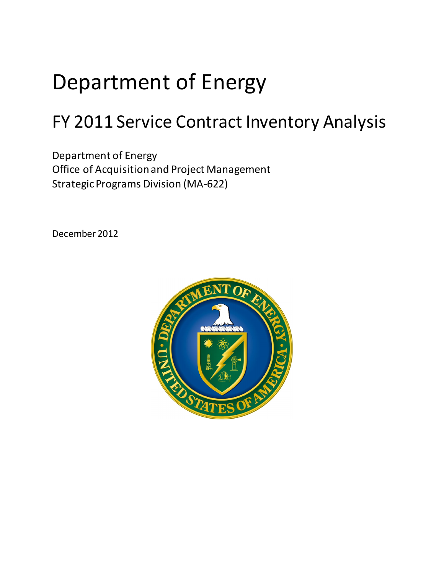# Department of Energy

## FY 2011 Service Contract Inventory Analysis

Office of Acquisition and Project Management<br>Strategic Programs Division (MA-622) Department of Energy

December 2012

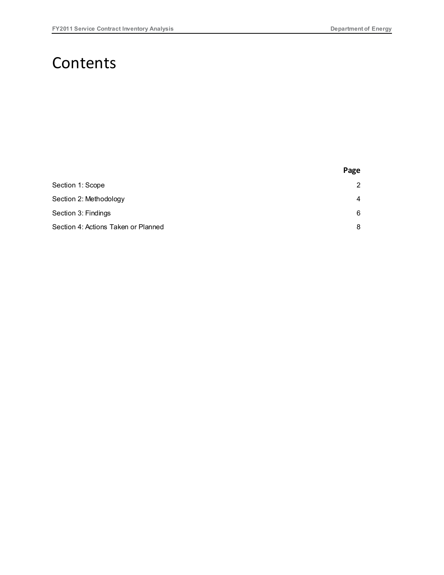### **Contents**

|                                     | Page           |
|-------------------------------------|----------------|
| Section 1: Scope                    | $\overline{2}$ |
| Section 2: Methodology              | 4              |
| Section 3: Findings                 | 6              |
| Section 4: Actions Taken or Planned | 8              |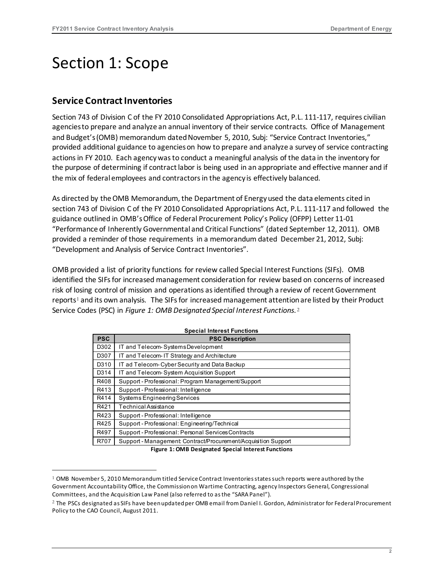### <span id="page-2-0"></span>Section 1: Scope

### **Service Contract Inventories**

l

 Section 743 of Division C of the FY 2010 Consolidated Appropriations Act, P.L. 111-117, requires civilian agencies to prepare and analyze an annual inventory of their service contracts. Office of Management provided additional guidance to agencies on how to prepare and analyze a survey of service contracting actions in FY 2010. Each agency was to conduct a meaningful analysis of the data in the inventory for the purpose of determining if contract labor is being used in an appropriate and effective manner and if the mix of federal employees and contractors in the agency is effectively balanced. and Budget's (OMB) memorandum dated November 5, 2010, Subj: "Service Contract Inventories,"

 As directed by the OMB Memorandum, the Department of Energy used the data elements cited in section 743 of Division C of the FY 2010 Consolidated Appropriations Act, P.L. 111-117 and followed the guidance outlined in OMB'sOffice of Federal Procurement Policy's Policy (OFPP) Letter 11-01 "Performance of Inherently Governmental and Critical Functions" (dated September 12, 2011). OMB provided a reminder of those requirements in a memorandum dated December 21, 2012, Subj: "Development and Analysis of Service Contract Inventories".

 OMB provided a list of priority functions for review called Special Interest Functions (SIFs). OMB risk of losing control of mission and operations as identified through a review of recent Government reports<sup>1</sup> and its own analysis. The SIFs for increased management attention are listed by their Product Service Codes (PSC) in *Figure 1: OMB Designated Special Interest Functions*. [2](#page-2-2)  identified the SIFs for increased management consideration for review based on concerns of increased

| <b>PSC</b> | <b>PSC Description</b>                                         |
|------------|----------------------------------------------------------------|
| D302       | IT and Telecom-SystemsDevelopment                              |
| D307       | IT and Telecom-IT Strategy and Architecture                    |
| D310       | IT ad Telecom-Cyber Security and Data Backup                   |
| D314       | IT and Telecom-System Acquisition Support                      |
| R408       | Support - Professional: Program Management/Support             |
| R413       | Support - Professional: Intelligence                           |
| R414       | Systems Engineering Services                                   |
| R421       | Technical Assistance                                           |
| R423       | Support - Professional: Intelligence                           |
| R425       | Support - Professional: Engineering/Technical                  |
| R497       | Support - Professional: Personal Services Contracts            |
| R707       | Support - Management: Contract/Procurement/Acquisition Support |

**Figure 1: OMB Designated Special Interest Functions** 

<span id="page-2-1"></span> $1$  OMB November 5, 2010 Memorandum titled Service Contract Inventories states such reports were authored by the Government Accountability Office, the Commission on Wartime Contracting, agency Inspectors General, Congressional Committees, and the Acquisition Law Panel (also referred to as the "SARA Panel").

<span id="page-2-2"></span><sup>&</sup>lt;sup>2</sup> The PSCs designated as SIFs have been updated per OMB email from Daniel I. Gordon, Administrator for Federal Procurement Policy to the CAO Council, August 2011.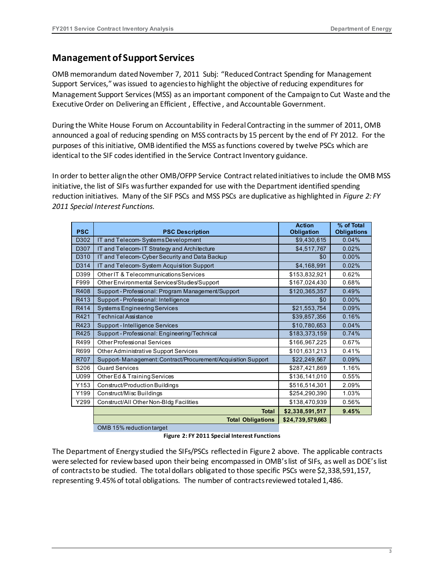#### **Management of Support Services**

 OMB memorandum dated November 7, 2011 Subj: "Reduced Contract Spending for Management Support Services," was issued to agencies to highlight the objective of reducing expenditures for Management Support Services (MSS) as an important component of the Campaign to Cut Waste and the Executive Order on Delivering an Efficient , Effective , and Accountable Government.

 During the White House Forum on Accountability in Federal Contracting in the summer of 2011, OMB announced a goal of reducing spending on MSS contracts by 15 percent by the end of FY 2012. For the purposes of this initiative, OMB identified the MSS as functions covered by twelve PSCs which are identical to the SIF codes identified in the Service Contract Inventory guidance.

 In order to better align the other OMB/OFPP Service Contract related initiatives to include the OMB MSS initiative, the list of SIFs was further expanded for use with the Department identified spending reduction initiatives. Many of the SIF PSCs and MSS PSCs are duplicative as highlighted in *Figure 2: FY 2011 Special Interest Functions*.

| <b>PSC</b> | <b>PSC Description</b>                                       | <b>Action</b><br>Obligation | % of Total<br><b>Obligations</b> |
|------------|--------------------------------------------------------------|-----------------------------|----------------------------------|
| D302       | IT and Telecom-Systems Development                           | \$9,430,615                 | 0.04%                            |
| D307       | IT and Telecom- IT Strategy and Architecture                 | \$4,517,767                 | 0.02%                            |
| D310       | IT and Telecom-Cyber Security and Data Backup                | \$0                         | 0.00%                            |
| D314       | IT and Telecom-System Acquisition Support                    | \$4,168,991                 | 0.02%                            |
| D399       | Other IT & Telecommunications Services                       | \$153,832,921               | 0.62%                            |
| F999       | Other Environmental Services/Studies/Support                 | \$167,024,430               | 0.68%                            |
| R408       | Support - Professional: Program Management/Support           | \$120,365,357               | 0.49%                            |
| R413       | Support - Professional: Intelligence                         | \$0                         | 0.00%                            |
| R414       | <b>Systems Engineering Services</b>                          | \$21,553,754                | 0.09%                            |
| R421       | <b>Technical Assistance</b>                                  | \$39,857,356                | 0.16%                            |
| R423       | Support - Intelligence Services                              | \$10,780,653                | 0.04%                            |
| R425       | Support - Professional: Engineering/Technical                | \$183,373,159               | 0.74%                            |
| R499       | Other Professional Services                                  | \$166,967,225               | 0.67%                            |
| R699       | Other Administrative Support Services                        | \$101,631,213               | 0.41%                            |
| R707       | Support-Management: Contract/Procurement/Acquisition Support | \$22,249,567                | 0.09%                            |
| S206       | <b>Guard Services</b>                                        | \$287,421,869               | 1.16%                            |
| U099       | Other Ed & Training Services                                 | \$136,141,010               | 0.55%                            |
| Y153       | Construct/Production Buildings                               | \$516,514,301               | 2.09%                            |
| Y199       | Construct/Misc Buildings                                     | \$254,290,390               | 1.03%                            |
| Y299       | Construct/All Other Non-Bldg Facilities                      | \$138,470,939               | 0.56%                            |
|            | <b>Total</b>                                                 | \$2,338,591,517             | 9.45%                            |
|            | <b>Total Obligations</b>                                     | \$24,739,579,663            |                                  |
|            | OMB 15% reduction target                                     |                             |                                  |

**Figure 2: FY 2011 Special Interest Functions** 

The Department of Energy studied the SIFs/PSCs reflected in Figure 2 above. The applicable contracts were selected for review based upon their being encompassed in OMB's list of SIFs, as well as DOE's list of contracts to be studied. The total dollars obligated to those specific PSCs were \$2,338,591,157, representing 9.45% of total obligations. The number of contracts reviewed totaled 1,486.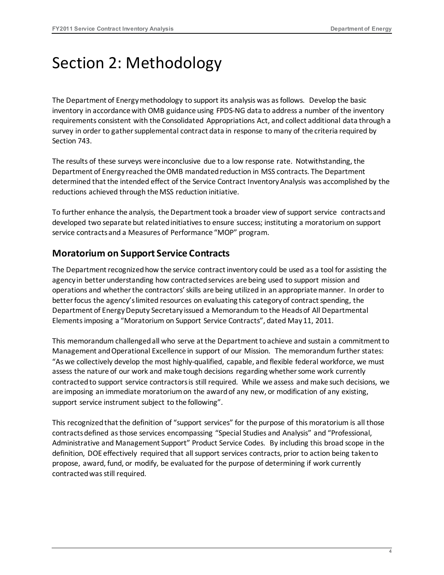### <span id="page-4-0"></span>Section 2: Methodology

 inventory in accordance with OMB guidance using FPDS-NG data to address a number of the inventory requirements consistent with the Consolidated Appropriations Act, and collect additional data through a survey in order to gather supplemental contract data in response to many of the criteria required by The Department of Energy methodology to support its analysis was as follows. Develop the basic Section 743.

 The results of these surveys were inconclusive due to a low response rate. Notwithstanding, the Department of Energy reached the OMB mandated reduction in MSS contracts. The Department determined that the intended effect of the Service Contract Inventory Analysis was accomplished by the reductions achieved through the MSS reduction initiative.

 To further enhance the analysis, the Department took a broader view of support service contracts and developed two separate but related initiatives to ensure success; instituting a moratorium on support service contracts and a Measures of Performance "MOP" program.

### **Moratorium on Support Service Contracts**

 The Department recognized how the service contract inventory could be used as a tool for assisting the agency in better understanding how contracted services are being used to support mission and operations and whether the contractors' skills are being utilized in an appropriate manner. In order to better focus the agency's limited resources on evaluating this category of contract spending, the Department of Energy Deputy Secretary issued a Memorandum to the Heads of All Departmental Elements imposing a "Moratorium on Support Service Contracts", dated May 11, 2011.

 This memorandum challenged all who serve at the Department to achieve and sustain a commitment to Management and Operational Excellence in support of our Mission. The memorandum further states: "As we collectively develop the most highly-qualified, capable, and flexible federal workforce, we must assess the nature of our work and make tough decisions regarding whether some work currently contracted to support service contractors is still required. While we assess and make such decisions, we are imposing an immediate moratorium on the award of any new, or modification of any existing, support service instrument subject to the following".

 This recognized that the definition of "support services" for the purpose of this moratorium is all those Administrative and Management Support" Product Service Codes. By including this broad scope in the definition, DOE effectively required that all support services contracts, prior to action being taken to propose, award, fund, or modify, be evaluated for the purpose of determining if work currently contracts defined as those services encompassing "Special Studies and Analysis" and "Professional, contracted was still required.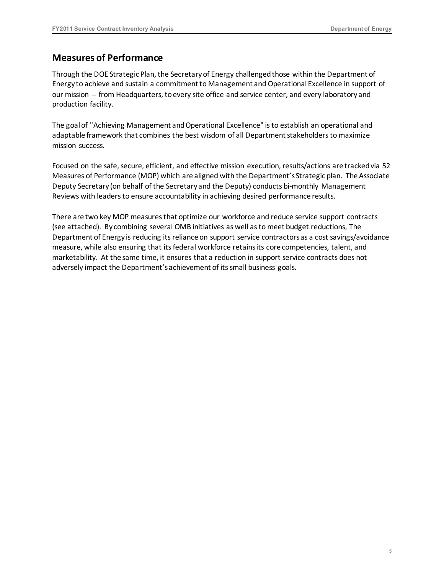#### **Measures of Performance**

 Through the DO[E Strategic Plan,](https://powerpedia.energy.gov/wiki/Strategic_Plan) the Secretary of Energy challenged those within the [Department of](https://powerpedia.energy.gov/wiki/Department_of_Energy)  [Energy t](https://powerpedia.energy.gov/wiki/Department_of_Energy)o achieve and sustain a commitment to Management and Operational Excellence in support of our mission -- from Headquarters, to every site office and service center, and every laboratory and production facility.

 The goal of "Achieving Management and Operational Excellence" is to establish an operational and adaptable framework that combines the best wisdom of all Department stakeholders to maximize mission success.

 Focused on the safe, secure, efficient, and effective mission execution, results/actions are tracked via 52 Measures of Performance (MOP) which are aligned with the Department's Strategic plan. The Associate Deputy Secretary (on behalf of the Secretary and the Deputy) conducts bi-monthly Management Reviews with leaders to ensure accountability in achieving desired performance results.

 There are two key MOP measures that optimize our workforce and reduce service support contracts Department of Energy is reducing its reliance on support service contractors as a cost savings/avoidance measure, while also ensuring that its federal workforce retains its core competencies, talent, and adversely impact the Department's achievement of its small business goals. (see attached). By combining several OMB initiatives as well as to meet budget reductions, The marketability. At the same time, it ensures that a reduction in support service contracts does not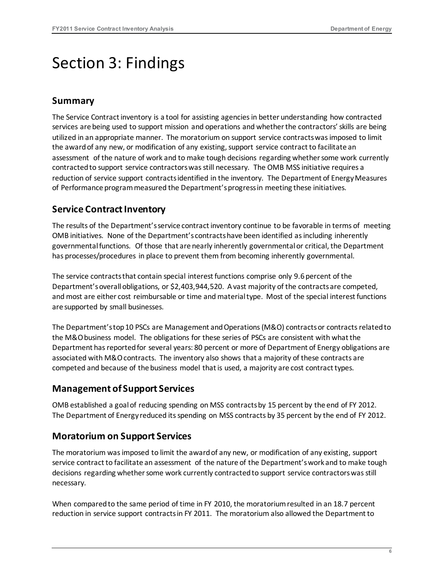### <span id="page-6-0"></span>Section 3: Findings

#### **Summary**

 The Service Contract inventory is a tool for assisting agencies in better understanding how contracted services are being used to support mission and operations and whether the contractors' skills are being the award of any new, or modification of any existing, support service contract to facilitate an assessment of the nature of work and to make tough decisions regarding whether some work currently contracted to support service contractors was still necessary. The OMB MSS initiative requires a reduction of service support contracts identified in the inventory. The Department of Energy Measures utilized in an appropriate manner. The moratorium on support service contracts was imposed to limit of Performance program measured the Department's progress in meeting these initiatives.

### **Service Contract Inventory**

 The results of the Department's service contract inventory continue to be favorable in terms of meeting OMB initiatives. None of the Department's contracts have been identified as including inherently governmental functions. Of those that are nearly inherently governmental or critical, the Department has processes/procedures in place to prevent them from becoming inherently governmental.

 The service contracts that contain special interest functions comprise only 9.6 percent of the Department'soverall obligations, or \$2,403,944,520. A vast majority of the contractsare competed, and most are either cost reimbursable or time and material type. Most of the special interest functions are supported by small businesses.

 The Department's top 10 PSCs are Management and Operations (M&O) contracts or contracts related to the M&O business model. The obligations for these series of PSCs are consistent with what the Department has reported for several years: 80 percent or more of Department of Energy obligations are associated with M&O contracts. The inventory also shows that a majority of these contracts are competed and because of the business model that is used, a majority are cost contract types.

#### **Management of Support Services**

 OMB established a goal of reducing spending on MSS contracts by 15 percent by the end of FY 2012. The Department of Energy reduced its spending on MSS contracts by 35 percent by the end of FY 2012.

### **Moratorium on Support Services**

 service contract to facilitate an assessment of the nature of the Department's work and to make tough decisions regarding whether some work currently contracted to support service contractors was still necessary. The moratorium was imposed to limit the award of any new, or modification of any existing, support

necessary.<br>When compared to the same period of time in FY 2010, the moratorium resulted in an 18.7 percent reduction in service support contracts in FY 2011. The moratorium also allowed the Department to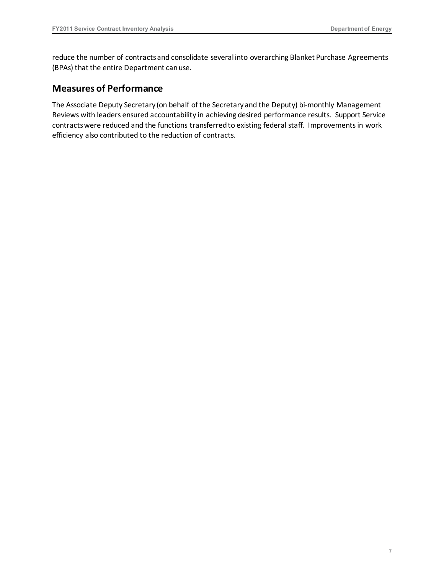reduce the number of contracts and consolidate several into overarching Blanket Purchase Agreements (BPAs) that the entire Department can use.

#### **Measures of Performance**

 The Associate Deputy Secretary (on behalf of the Secretary and the Deputy) bi-monthly Management Reviews with leaders ensured accountability in achieving desired performance results. Support Service contracts were reduced and the functions transferred to existing federal staff. Improvements in work efficiency also contributed to the reduction of contracts.